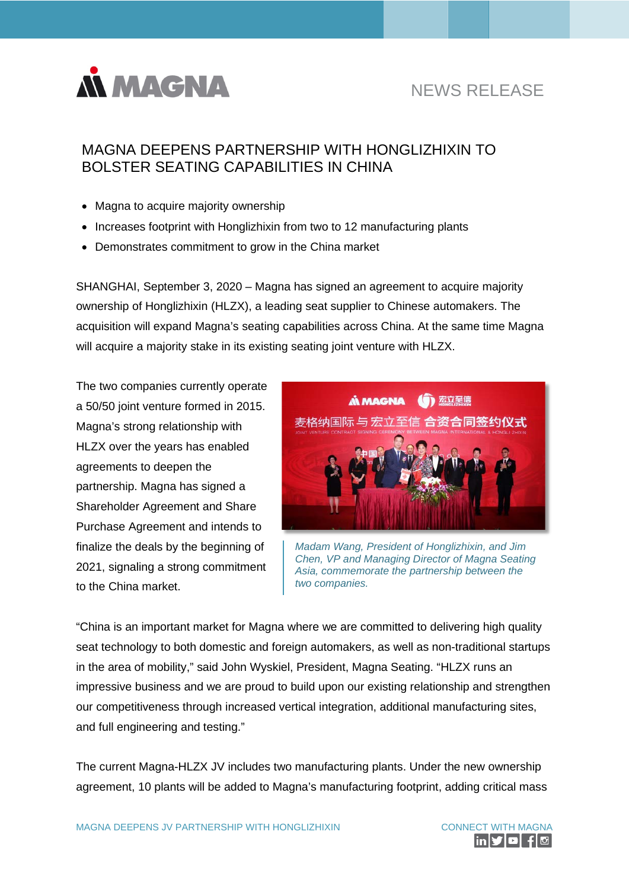

# NEWS RELEASE

# MAGNA DEEPENS PARTNERSHIP WITH HONGLIZHIXIN TO BOLSTER SEATING CAPABILITIES IN CHINA

- Magna to acquire majority ownership
- Increases footprint with Honglizhixin from two to 12 manufacturing plants
- Demonstrates commitment to grow in the China market

SHANGHAI, September 3, 2020 – Magna has signed an agreement to acquire majority ownership of Honglizhixin (HLZX), a leading seat supplier to Chinese automakers. The acquisition will expand Magna's seating capabilities across China. At the same time Magna will acquire a majority stake in its existing seating joint venture with HLZX.

The two companies currently operate a 50/50 joint venture formed in 2015. Magna's strong relationship with HLZX over the years has enabled agreements to deepen the partnership. Magna has signed a Shareholder Agreement and Share Purchase Agreement and intends to finalize the deals by the beginning of 2021, signaling a strong commitment to the China market.



*Madam Wang, President of Honglizhixin, and Jim Chen, VP and Managing Director of Magna Seating Asia, commemorate the partnership between the two companies.*

"China is an important market for Magna where we are committed to delivering high quality seat technology to both domestic and foreign automakers, as well as non-traditional startups in the area of mobility," said John Wyskiel, President, Magna Seating. "HLZX runs an impressive business and we are proud to build upon our existing relationship and strengthen our competitiveness through increased vertical integration, additional manufacturing sites, and full engineering and testing."

The current Magna-HLZX JV includes two manufacturing plants. Under the new ownership agreement, 10 plants will be added to Magna's manufacturing footprint, adding critical mass

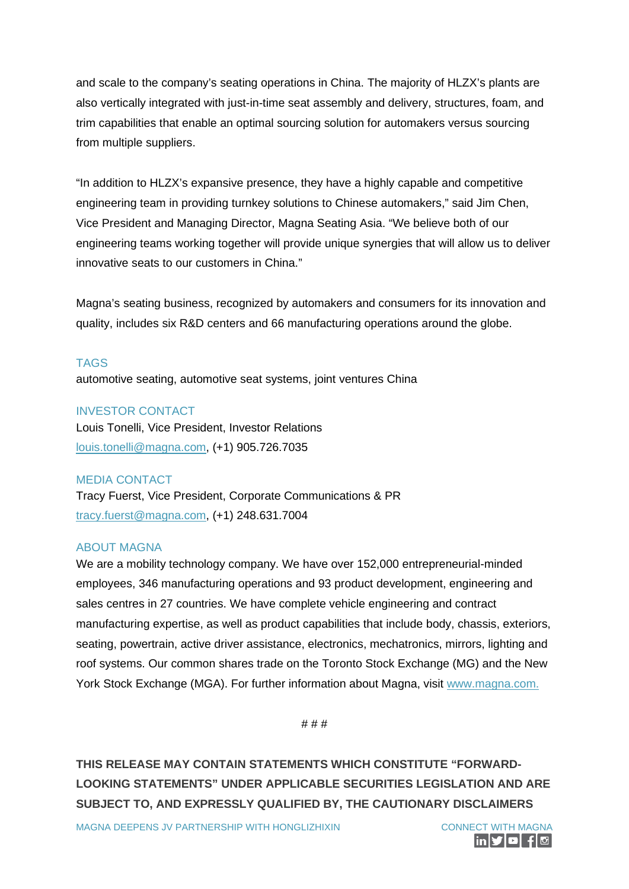and scale to the company's seating operations in China. The majority of HLZX's plants are also vertically integrated with just-in-time seat assembly and delivery, structures, foam, and trim capabilities that enable an optimal sourcing solution for automakers versus sourcing from multiple suppliers.

"In addition to HLZX's expansive presence, they have a highly capable and competitive engineering team in providing turnkey solutions to Chinese automakers," said Jim Chen, Vice President and Managing Director, Magna Seating Asia. "We believe both of our engineering teams working together will provide unique synergies that will allow us to deliver innovative seats to our customers in China."

Magna's seating business, recognized by automakers and consumers for its innovation and quality, includes six R&D centers and 66 manufacturing operations around the globe.

#### TAGS

automotive seating, automotive seat systems, joint ventures China

## INVESTOR CONTACT

Louis Tonelli, Vice President, Investor Relations [louis.tonelli@magna.com,](mailto:louis.tonelli@magna.com) (+1) 905.726.7035

#### MEDIA CONTACT

Tracy Fuerst, Vice President, Corporate Communications & PR [tracy.fuerst@magna.com,](mailto:tracy.fuerst@magna.com) (+1) 248.631.7004

## ABOUT MAGNA

We are a mobility technology company. We have over 152,000 entrepreneurial-minded employees, 346 manufacturing operations and 93 product development, engineering and sales centres in 27 countries. We have complete vehicle engineering and contract manufacturing expertise, as well as product capabilities that include body, chassis, exteriors, seating, powertrain, active driver assistance, electronics, mechatronics, mirrors, lighting and roof systems. Our common shares trade on the Toronto Stock Exchange (MG) and the New York Stock Exchange (MGA). For further information about Magna, visit [www.magna.com.](mailto:tracy.fuerst@magna.com)

# # #

**THIS RELEASE MAY CONTAIN STATEMENTS WHICH CONSTITUTE "FORWARD-LOOKING STATEMENTS" UNDER APPLICABLE SECURITIES LEGISLATION AND ARE SUBJECT TO, AND EXPRESSLY QUALIFIED BY, THE CAUTIONARY DISCLAIMERS**